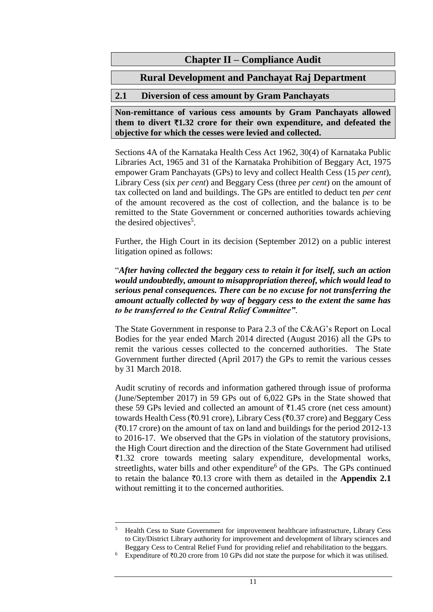## **Chapter II – Compliance Audit**

# **Rural Development and Panchayat Raj Department**

## **2.1 Diversion of cess amount by Gram Panchayats**

**Non-remittance of various cess amounts by Gram Panchayats allowed**  them to divert  $\overline{\tau}$ 1.32 crore for their own expenditure, and defeated the **objective for which the cesses were levied and collected.**

Sections 4A of the Karnataka Health Cess Act 1962, 30(4) of Karnataka Public Libraries Act, 1965 and 31 of the Karnataka Prohibition of Beggary Act, 1975 empower Gram Panchayats (GPs) to levy and collect Health Cess (15 *per cent*), Library Cess (six *per cent*) and Beggary Cess (three *per cent*) on the amount of tax collected on land and buildings. The GPs are entitled to deduct ten *per cent* of the amount recovered as the cost of collection, and the balance is to be remitted to the State Government or concerned authorities towards achieving the desired objectives<sup>5</sup>.

Further, the High Court in its decision (September 2012) on a public interest litigation opined as follows:

"*After having collected the beggary cess to retain it for itself, such an action would undoubtedly, amount to misappropriation thereof, which would lead to serious penal consequences. There can be no excuse for not transferring the amount actually collected by way of beggary cess to the extent the same has to be transferred to the Central Relief Committee"*.

The State Government in response to Para 2.3 of the C&AG's Report on Local Bodies for the year ended March 2014 directed (August 2016) all the GPs to remit the various cesses collected to the concerned authorities. The State Government further directed (April 2017) the GPs to remit the various cesses by 31 March 2018.

Audit scrutiny of records and information gathered through issue of proforma (June/September 2017) in 59 GPs out of 6,022 GPs in the State showed that these 59 GPs levied and collected an amount of  $\bar{\tau}1.45$  crore (net cess amount) towards Health Cess ( $\overline{z}0.91$  crore), Library Cess ( $\overline{z}0.37$  crore) and Beggary Cess  $(\text{\textdegree}0.17 \text{ core})$  on the amount of tax on land and buildings for the period 2012-13 to 2016-17. We observed that the GPs in violation of the statutory provisions, the High Court direction and the direction of the State Government had utilised  $\overline{\xi}$ 1.32 crore towards meeting salary expenditure, developmental works, streetlights, water bills and other expenditure $<sup>6</sup>$  of the GPs. The GPs continued</sup> to retain the balance  $\bar{x}$ 0.13 crore with them as detailed in the **Appendix 2.1** without remitting it to the concerned authorities.

<sup>5</sup> <sup>5</sup> Health Cess to State Government for improvement healthcare infrastructure, Library Cess to City/District Library authority for improvement and development of library sciences and Beggary Cess to Central Relief Fund for providing relief and rehabilitation to the beggars.

Expenditure of  $\bar{\tau}$ 0.20 crore from 10 GPs did not state the purpose for which it was utilised.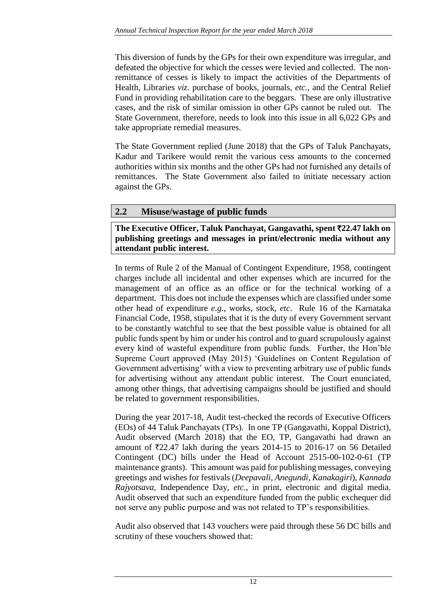This diversion of funds by the GPs for their own expenditure was irregular, and defeated the objective for which the cesses were levied and collected. The nonremittance of cesses is likely to impact the activities of the Departments of Health, Libraries *viz.* purchase of books, journals, *etc.*, and the Central Relief Fund in providing rehabilitation care to the beggars. These are only illustrative cases, and the risk of similar omission in other GPs cannot be ruled out. The State Government, therefore, needs to look into this issue in all 6,022 GPs and take appropriate remedial measures.

The State Government replied (June 2018) that the GPs of Taluk Panchayats, Kadur and Tarikere would remit the various cess amounts to the concerned authorities within six months and the other GPs had not furnished any details of remittances. The State Government also failed to initiate necessary action against the GPs.

## **2.2 Misuse/wastage of public funds**

### **The Executive Officer, Taluk Panchayat, Gangavathi, spent** `**22.47 lakh on publishing greetings and messages in print/electronic media without any attendant public interest.**

In terms of Rule 2 of the Manual of Contingent Expenditure, 1958, contingent charges include all incidental and other expenses which are incurred for the management of an office as an office or for the technical working of a department. This does not include the expenses which are classified under some other head of expenditure *e.g.*, works, stock, *etc*. Rule 16 of the Karnataka Financial Code, 1958, stipulates that it is the duty of every Government servant to be constantly watchful to see that the best possible value is obtained for all public funds spent by him or under his control and to guard scrupulously against every kind of wasteful expenditure from public funds. Further, the Hon'ble Supreme Court approved (May 2015) 'Guidelines on Content Regulation of Government advertising' with a view to preventing arbitrary use of public funds for advertising without any attendant public interest. The Court enunciated, among other things, that advertising campaigns should be justified and should be related to government responsibilities.

During the year 2017-18, Audit test-checked the records of Executive Officers (EOs) of 44 Taluk Panchayats (TPs). In one TP (Gangavathi, Koppal District), Audit observed (March 2018) that the EO, TP, Gangavathi had drawn an amount of  $\overline{\tau}22.47$  lakh during the years 2014-15 to 2016-17 on 56 Detailed Contingent (DC) bills under the Head of Account 2515-00-102-0-61 (TP maintenance grants). This amount was paid for publishing messages, conveying greetings and wishes for festivals (*Deepavali*, *Anegundi*, *Kanakagiri*), *Kannada Rajyotsava*, Independence Day, *etc.*, in print, electronic and digital media. Audit observed that such an expenditure funded from the public exchequer did not serve any public purpose and was not related to TP's responsibilities.

Audit also observed that 143 vouchers were paid through these 56 DC bills and scrutiny of these vouchers showed that: